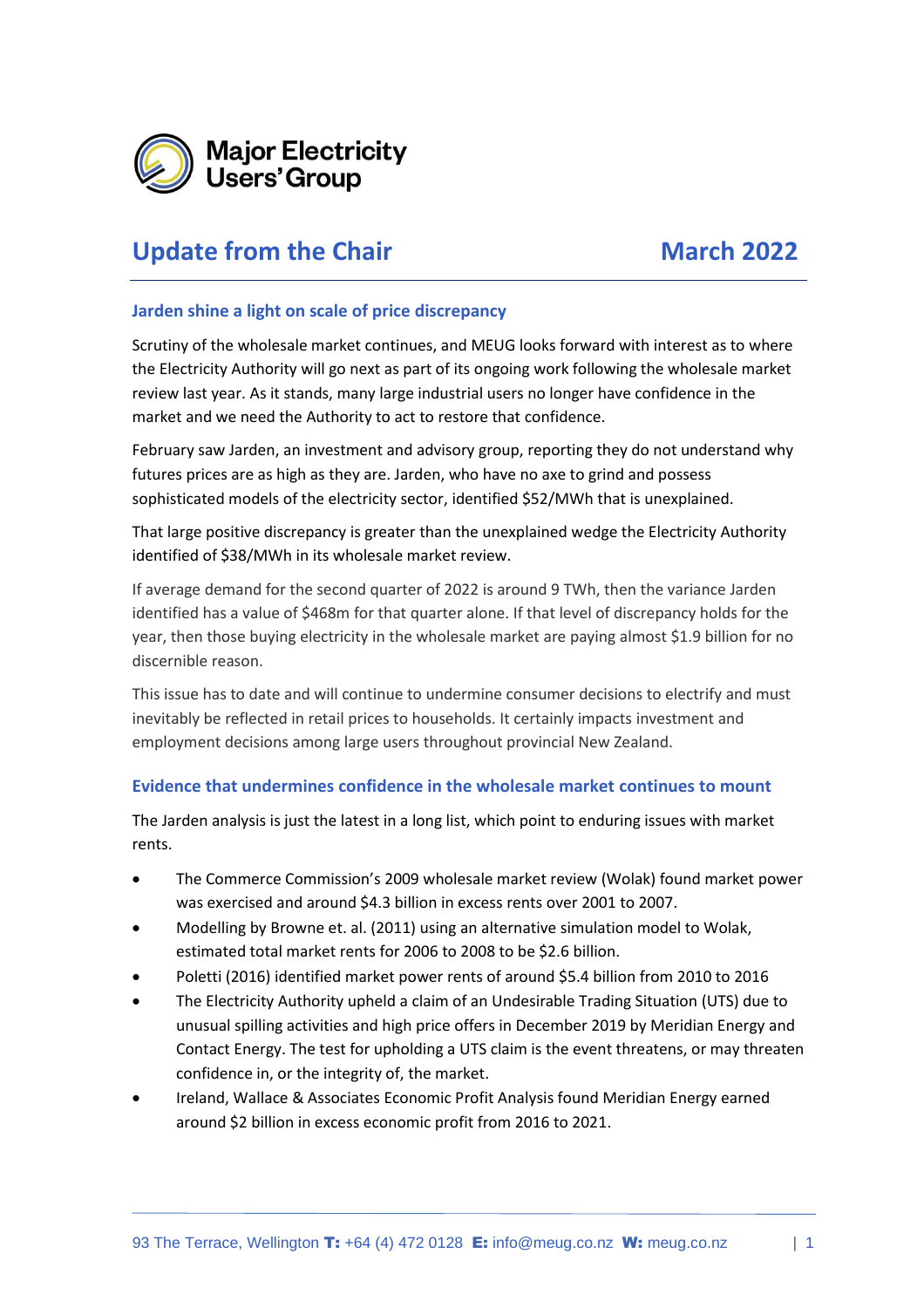

# **Update from the Chair March 2022**

#### **Jarden shine a light on scale of price discrepancy**

Scrutiny of the wholesale market continues, and MEUG looks forward with interest as to where the Electricity Authority will go next as part of its ongoing work following the wholesale market review last year. As it stands, many large industrial users no longer have confidence in the market and we need the Authority to act to restore that confidence.

February saw Jarden, an investment and advisory group, reporting they do not understand why futures prices are as high as they are. Jarden, who have no axe to grind and possess sophisticated models of the electricity sector, identified \$52/MWh that is unexplained.

That large positive discrepancy is greater than the unexplained wedge the Electricity Authority identified of \$38/MWh in its wholesale market review.

If average demand for the second quarter of 2022 is around 9 TWh, then the variance Jarden identified has a value of \$468m for that quarter alone. If that level of discrepancy holds for the year, then those buying electricity in the wholesale market are paying almost \$1.9 billion for no discernible reason.

This issue has to date and will continue to undermine consumer decisions to electrify and must inevitably be reflected in retail prices to households. It certainly impacts investment and employment decisions among large users throughout provincial New Zealand.

### **Evidence that undermines confidence in the wholesale market continues to mount**

The Jarden analysis is just the latest in a long list, which point to enduring issues with market rents.

- The Commerce Commission's 2009 wholesale market review (Wolak) found market power was exercised and around \$4.3 billion in excess rents over 2001 to 2007.
- Modelling by Browne et. al. (2011) using an alternative simulation model to Wolak, estimated total market rents for 2006 to 2008 to be \$2.6 billion.
- Poletti (2016) identified market power rents of around \$5.4 billion from 2010 to 2016
- The Electricity Authority upheld a claim of an Undesirable Trading Situation (UTS) due to unusual spilling activities and high price offers in December 2019 by Meridian Energy and Contact Energy. The test for upholding a UTS claim is the event threatens, or may threaten confidence in, or the integrity of, the market.
- Ireland, Wallace & Associates Economic Profit Analysis found Meridian Energy earned around \$2 billion in excess economic profit from 2016 to 2021.